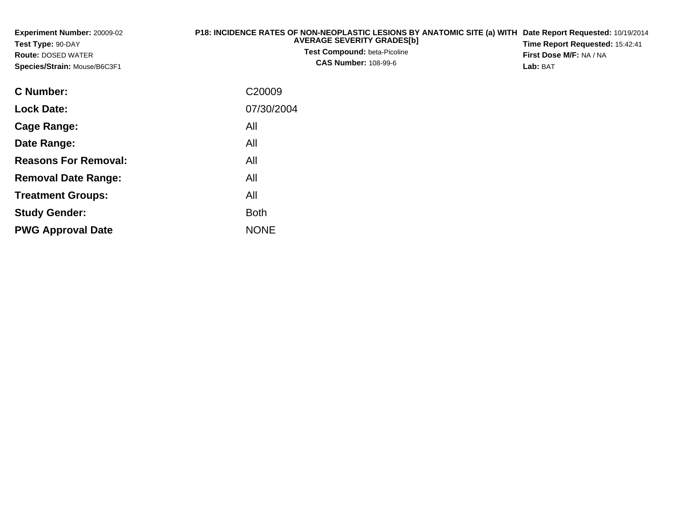| Experiment Number: 20009-02<br>Test Type: 90-DAY<br><b>Route: DOSED WATER</b><br>Species/Strain: Mouse/B6C3F1 | P18: INCIDENCE RATES OF NON-NEOPLASTIC LESIONS BY ANATOMIC SITE (a) WITH Date Report Requested: 10/19/2014<br><b>AVERAGE SEVERITY GRADESIBI</b><br><b>Test Compound: beta-Picoline</b><br><b>CAS Number: 108-99-6</b> | Time Report Requested: 15:42:41<br>First Dose M/F: NA / NA<br>Lab: BAT |
|---------------------------------------------------------------------------------------------------------------|-----------------------------------------------------------------------------------------------------------------------------------------------------------------------------------------------------------------------|------------------------------------------------------------------------|
| C Number:                                                                                                     | C <sub>20009</sub>                                                                                                                                                                                                    |                                                                        |
| <b>Lock Date:</b>                                                                                             | 07/30/2004                                                                                                                                                                                                            |                                                                        |
| Cage Range:                                                                                                   | All                                                                                                                                                                                                                   |                                                                        |
| Date Range:                                                                                                   | All                                                                                                                                                                                                                   |                                                                        |

**Reasons For Removal:**

**Removal Date Range:**

**Treatment Groups:**

**PWG Approval Date**

**Study Gender:**

All

: All

e NONE

Both

All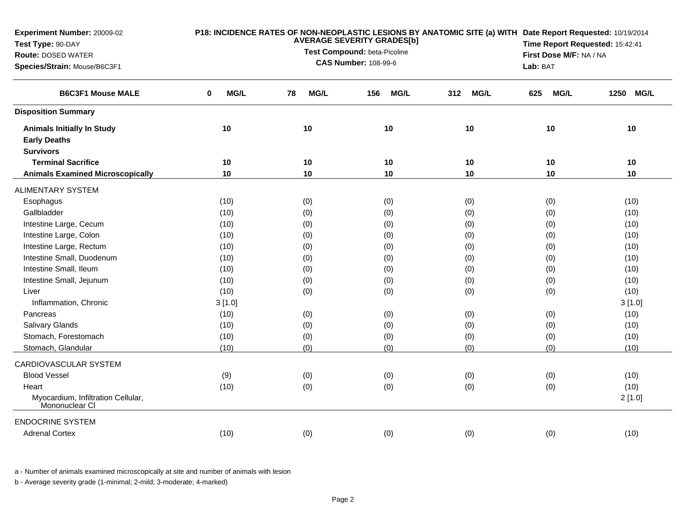| Experiment Number: 20009-02<br>Test Type: 90-DAY     |           | P18: INCIDENCE RATES OF NON-NEOPLASTIC LESIONS BY ANATOMIC SITE (a) WITH Date Report Requested: 10/19/2014<br>Time Report Requested: 15:42:41 |                         |                    |                    |           |
|------------------------------------------------------|-----------|-----------------------------------------------------------------------------------------------------------------------------------------------|-------------------------|--------------------|--------------------|-----------|
| <b>Route: DOSED WATER</b>                            |           | <b>AVERAGE SEVERITY GRADES[b]</b><br>Test Compound: beta-Picoline                                                                             | First Dose M/F: NA / NA |                    |                    |           |
| Species/Strain: Mouse/B6C3F1                         |           | <b>CAS Number: 108-99-6</b>                                                                                                                   | Lab: BAT                |                    |                    |           |
| <b>B6C3F1 Mouse MALE</b>                             | MG/L<br>0 | <b>MG/L</b><br><b>MG/L</b><br>78<br>156                                                                                                       |                         | <b>MG/L</b><br>312 | <b>MG/L</b><br>625 | 1250 MG/L |
| <b>Disposition Summary</b>                           |           |                                                                                                                                               |                         |                    |                    |           |
| <b>Animals Initially In Study</b>                    | 10        | 10                                                                                                                                            | 10                      | 10                 | 10                 | 10        |
| <b>Early Deaths</b>                                  |           |                                                                                                                                               |                         |                    |                    |           |
| <b>Survivors</b>                                     |           |                                                                                                                                               |                         |                    |                    |           |
| <b>Terminal Sacrifice</b>                            | 10        | 10                                                                                                                                            | 10                      | 10                 | 10                 | 10        |
| <b>Animals Examined Microscopically</b>              | 10        | 10                                                                                                                                            | 10                      | $10$               | 10                 | 10        |
| <b>ALIMENTARY SYSTEM</b>                             |           |                                                                                                                                               |                         |                    |                    |           |
| Esophagus                                            | (10)      | (0)                                                                                                                                           | (0)                     | (0)                | (0)                | (10)      |
| Gallbladder                                          | (10)      | (0)                                                                                                                                           | (0)                     | (0)                | (0)                | (10)      |
| Intestine Large, Cecum                               | (10)      | (0)                                                                                                                                           | (0)                     | (0)                | (0)                | (10)      |
| Intestine Large, Colon                               | (10)      | (0)                                                                                                                                           | (0)                     | (0)                | (0)                | (10)      |
| Intestine Large, Rectum                              | (10)      | (0)                                                                                                                                           | (0)                     | (0)                | (0)                | (10)      |
| Intestine Small, Duodenum                            | (10)      | (0)                                                                                                                                           | (0)                     | (0)                | (0)                | (10)      |
| Intestine Small, Ileum                               | (10)      | (0)                                                                                                                                           | (0)                     | (0)                | (0)                | (10)      |
| Intestine Small, Jejunum                             | (10)      | (0)                                                                                                                                           | (0)                     | (0)                | (0)                | (10)      |
| Liver                                                | (10)      | (0)                                                                                                                                           | (0)                     | (0)                | (0)                | (10)      |
| Inflammation, Chronic                                | 3[1.0]    |                                                                                                                                               |                         |                    |                    | 3[1.0]    |
| Pancreas                                             | (10)      | (0)                                                                                                                                           | (0)                     | (0)                | (0)                | (10)      |
| <b>Salivary Glands</b>                               | (10)      | (0)                                                                                                                                           | (0)                     | (0)                | (0)                | (10)      |
| Stomach, Forestomach                                 | (10)      | (0)                                                                                                                                           | (0)                     | (0)                | (0)                | (10)      |
| Stomach, Glandular                                   | (10)      | (0)                                                                                                                                           | (0)                     | (0)                | (0)                | (10)      |
| CARDIOVASCULAR SYSTEM                                |           |                                                                                                                                               |                         |                    |                    |           |
| <b>Blood Vessel</b>                                  | (9)       | (0)                                                                                                                                           | (0)                     | (0)                | (0)                | (10)      |
| Heart                                                | (10)      | (0)                                                                                                                                           | (0)                     | (0)                | (0)                | (10)      |
| Myocardium, Infiltration Cellular,<br>Mononuclear CI |           |                                                                                                                                               |                         |                    |                    | 2[1.0]    |
| <b>ENDOCRINE SYSTEM</b>                              |           |                                                                                                                                               |                         |                    |                    |           |
| <b>Adrenal Cortex</b>                                | (10)      | (0)                                                                                                                                           | (0)                     | (0)                | (0)                | (10)      |

a - Number of animals examined microscopically at site and number of animals with lesion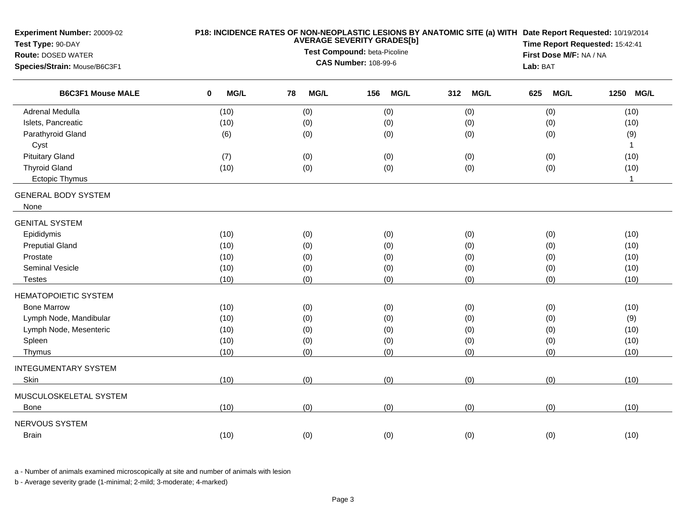| Experiment Number: 20009-02<br>Test Type: 90-DAY<br><b>Route: DOSED WATER</b><br>Species/Strain: Mouse/B6C3F1 |           | First Dose M/F: NA / NA<br>Lab: BAT | P18: INCIDENCE RATES OF NON-NEOPLASTIC LESIONS BY ANATOMIC SITE (a) WITH Date Report Requested: 10/19/2014<br>Time Report Requested: 15:42:41 |                    |                    |              |
|---------------------------------------------------------------------------------------------------------------|-----------|-------------------------------------|-----------------------------------------------------------------------------------------------------------------------------------------------|--------------------|--------------------|--------------|
| <b>B6C3F1 Mouse MALE</b>                                                                                      | MG/L<br>0 | 78<br><b>MG/L</b>                   | <b>MG/L</b><br>156                                                                                                                            | <b>MG/L</b><br>312 | 625<br><b>MG/L</b> | 1250 MG/L    |
| <b>Adrenal Medulla</b>                                                                                        | (10)      | (0)                                 | (0)                                                                                                                                           | (0)                | (0)                | (10)         |
| Islets, Pancreatic                                                                                            | (10)      | (0)                                 | (0)                                                                                                                                           | (0)                | (0)                | (10)         |
| Parathyroid Gland                                                                                             | (6)       | (0)                                 | (0)                                                                                                                                           | (0)                | (0)                | (9)          |
| Cyst                                                                                                          |           |                                     |                                                                                                                                               |                    |                    | $\mathbf{1}$ |
| <b>Pituitary Gland</b>                                                                                        | (7)       | (0)                                 | (0)                                                                                                                                           | (0)                | (0)                | (10)         |
| <b>Thyroid Gland</b>                                                                                          | (10)      | (0)                                 | (0)                                                                                                                                           | (0)                | (0)                | (10)         |
| Ectopic Thymus                                                                                                |           |                                     |                                                                                                                                               |                    |                    | $\mathbf{1}$ |
| <b>GENERAL BODY SYSTEM</b><br>None                                                                            |           |                                     |                                                                                                                                               |                    |                    |              |
| <b>GENITAL SYSTEM</b>                                                                                         |           |                                     |                                                                                                                                               |                    |                    |              |
| Epididymis                                                                                                    | (10)      | (0)                                 | (0)                                                                                                                                           | (0)                | (0)                | (10)         |
| <b>Preputial Gland</b>                                                                                        | (10)      | (0)                                 | (0)                                                                                                                                           | (0)                | (0)                | (10)         |
| Prostate                                                                                                      | (10)      | (0)                                 | (0)                                                                                                                                           | (0)                | (0)                | (10)         |
| Seminal Vesicle                                                                                               | (10)      | (0)                                 | (0)                                                                                                                                           | (0)                | (0)                | (10)         |
| <b>Testes</b>                                                                                                 | (10)      | (0)                                 | (0)                                                                                                                                           | (0)                | (0)                | (10)         |
| HEMATOPOIETIC SYSTEM                                                                                          |           |                                     |                                                                                                                                               |                    |                    |              |
| <b>Bone Marrow</b>                                                                                            | (10)      | (0)                                 | (0)                                                                                                                                           | (0)                | (0)                | (10)         |
| Lymph Node, Mandibular                                                                                        | (10)      | (0)                                 | (0)                                                                                                                                           | (0)                | (0)                | (9)          |
| Lymph Node, Mesenteric                                                                                        | (10)      | (0)                                 | (0)                                                                                                                                           | (0)                | (0)                | (10)         |
| Spleen                                                                                                        | (10)      | (0)                                 | (0)                                                                                                                                           | (0)                | (0)                | (10)         |
| Thymus                                                                                                        | (10)      | (0)                                 | (0)                                                                                                                                           | (0)                | (0)                | (10)         |
| <b>INTEGUMENTARY SYSTEM</b>                                                                                   |           |                                     |                                                                                                                                               |                    |                    |              |
| Skin                                                                                                          | (10)      | (0)                                 | (0)                                                                                                                                           | (0)                | (0)                | (10)         |
| MUSCULOSKELETAL SYSTEM                                                                                        |           |                                     |                                                                                                                                               |                    |                    |              |
| Bone                                                                                                          | (10)      | (0)                                 | (0)                                                                                                                                           | (0)                | (0)                | (10)         |
| NERVOUS SYSTEM                                                                                                |           |                                     |                                                                                                                                               |                    |                    |              |
| Brain                                                                                                         | (10)      | (0)                                 | (0)                                                                                                                                           | (0)                | (0)                | (10)         |

a - Number of animals examined microscopically at site and number of animals with lesion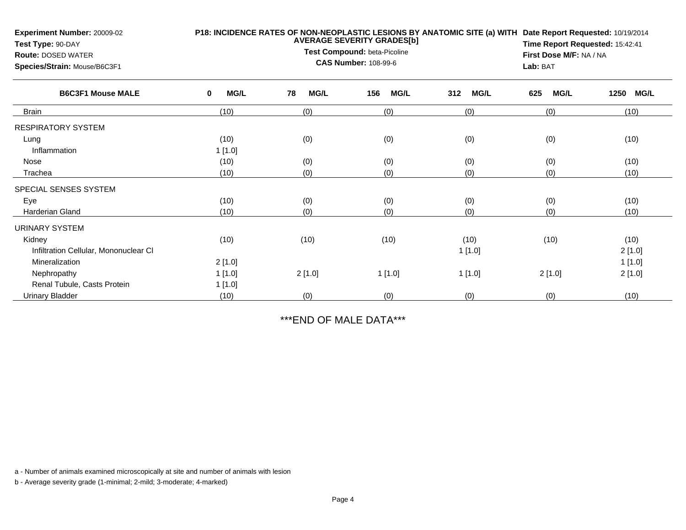| <b>Experiment Number: 20009-02</b><br>Test Type: 90-DAY<br><b>Route: DOSED WATER</b><br>Species/Strain: Mouse/B6C3F1 |                  | P18: INCIDENCE RATES OF NON-NEOPLASTIC LESIONS BY ANATOMIC SITE (a) WITH<br>Date Report Requested: 10/19/2014<br><b>AVERAGE SEVERITY GRADES[b]</b><br>Time Report Requested: 15:42:41<br>Test Compound: beta-Picoline<br>First Dose M/F: NA / NA<br><b>CAS Number: 108-99-6</b><br>Lab: BAT |                    |                    |                    |                     |  |  |
|----------------------------------------------------------------------------------------------------------------------|------------------|---------------------------------------------------------------------------------------------------------------------------------------------------------------------------------------------------------------------------------------------------------------------------------------------|--------------------|--------------------|--------------------|---------------------|--|--|
| <b>B6C3F1 Mouse MALE</b>                                                                                             | <b>MG/L</b><br>0 | 78<br><b>MG/L</b>                                                                                                                                                                                                                                                                           | <b>MG/L</b><br>156 | <b>MG/L</b><br>312 | <b>MG/L</b><br>625 | 1250<br><b>MG/L</b> |  |  |
| <b>Brain</b>                                                                                                         | (10)             | (0)                                                                                                                                                                                                                                                                                         | (0)                | (0)                | (0)                | (10)                |  |  |
| <b>RESPIRATORY SYSTEM</b>                                                                                            |                  |                                                                                                                                                                                                                                                                                             |                    |                    |                    |                     |  |  |
| Lung                                                                                                                 | (10)             | (0)                                                                                                                                                                                                                                                                                         | (0)                | (0)                | (0)                | (10)                |  |  |
| Inflammation                                                                                                         | 1[1.0]           |                                                                                                                                                                                                                                                                                             |                    |                    |                    |                     |  |  |
| Nose                                                                                                                 | (10)             | (0)                                                                                                                                                                                                                                                                                         | (0)<br>(0)         |                    | (0)                | (10)                |  |  |
| Trachea                                                                                                              | (10)             | (0)<br>(0)                                                                                                                                                                                                                                                                                  |                    | (0)                | (0)                | (10)                |  |  |
| SPECIAL SENSES SYSTEM                                                                                                |                  |                                                                                                                                                                                                                                                                                             |                    |                    |                    |                     |  |  |
| Eye                                                                                                                  | (10)             | (0)                                                                                                                                                                                                                                                                                         | (0)                | (0)                | (0)                | (10)                |  |  |
| <b>Harderian Gland</b>                                                                                               | (10)             | (0)                                                                                                                                                                                                                                                                                         | (0)                | (0)                | (0)                | (10)                |  |  |
| URINARY SYSTEM                                                                                                       |                  |                                                                                                                                                                                                                                                                                             |                    |                    |                    |                     |  |  |
| Kidney                                                                                                               | (10)             | (10)                                                                                                                                                                                                                                                                                        | (10)               | (10)               | (10)               | (10)                |  |  |
| Infiltration Cellular, Mononuclear CI                                                                                |                  |                                                                                                                                                                                                                                                                                             |                    | 1[1.0]             |                    | 2[1.0]              |  |  |
| Mineralization                                                                                                       | 2[1.0]           |                                                                                                                                                                                                                                                                                             |                    |                    |                    | 1[1.0]              |  |  |
| Nephropathy                                                                                                          | 1[1.0]           | 2[1.0]                                                                                                                                                                                                                                                                                      | 1 [1.0]            | 1[1.0]             | 2[1.0]             | 2[1.0]              |  |  |
| Renal Tubule, Casts Protein                                                                                          | 1[1.0]           |                                                                                                                                                                                                                                                                                             |                    |                    |                    |                     |  |  |
| <b>Urinary Bladder</b>                                                                                               | (10)             | (0)                                                                                                                                                                                                                                                                                         | (0)                | (0)                | (0)                | (10)                |  |  |

\*\*\*END OF MALE DATA\*\*\*

a - Number of animals examined microscopically at site and number of animals with lesion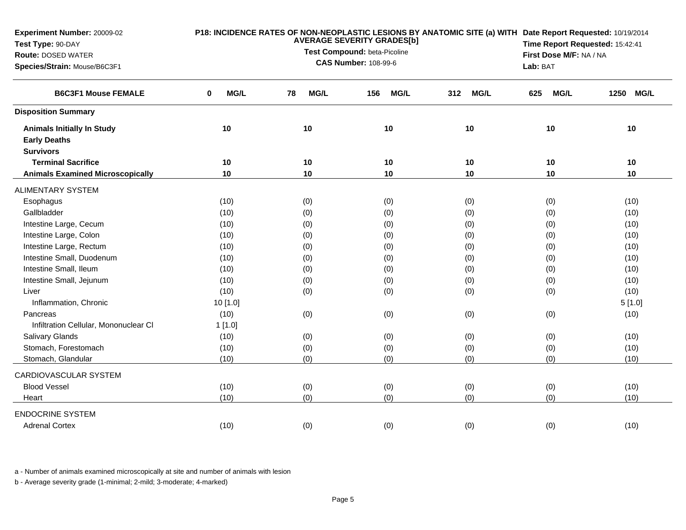| Experiment Number: 20009-02<br>Test Type: 90-DAY<br><b>Route: DOSED WATER</b><br>Species/Strain: Mouse/B6C3F1 |           | <b>AVERAGE SEVERITY GRADES[b]</b><br>Test Compound: beta-Picoline<br><b>CAS Number: 108-99-6</b> | P18: INCIDENCE RATES OF NON-NEOPLASTIC LESIONS BY ANATOMIC SITE (a) WITH Date Report Requested: 10/19/2014<br>Time Report Requested: 15:42:41<br>First Dose M/F: NA / NA<br>Lab: BAT |                    |                    |                     |
|---------------------------------------------------------------------------------------------------------------|-----------|--------------------------------------------------------------------------------------------------|--------------------------------------------------------------------------------------------------------------------------------------------------------------------------------------|--------------------|--------------------|---------------------|
| <b>B6C3F1 Mouse FEMALE</b>                                                                                    | MG/L<br>0 | MG/L<br>78                                                                                       | <b>MG/L</b><br>156                                                                                                                                                                   | <b>MG/L</b><br>312 | <b>MG/L</b><br>625 | <b>MG/L</b><br>1250 |
| <b>Disposition Summary</b>                                                                                    |           |                                                                                                  |                                                                                                                                                                                      |                    |                    |                     |
| <b>Animals Initially In Study</b><br><b>Early Deaths</b>                                                      | 10        | 10                                                                                               | 10                                                                                                                                                                                   | 10                 | 10                 | 10                  |
| <b>Survivors</b>                                                                                              |           |                                                                                                  |                                                                                                                                                                                      |                    |                    |                     |
| <b>Terminal Sacrifice</b>                                                                                     | 10        | 10                                                                                               | 10                                                                                                                                                                                   | 10                 | 10                 | 10                  |
| <b>Animals Examined Microscopically</b>                                                                       | 10        | 10                                                                                               | 10                                                                                                                                                                                   | 10                 | 10                 | 10                  |
| <b>ALIMENTARY SYSTEM</b>                                                                                      |           |                                                                                                  |                                                                                                                                                                                      |                    |                    |                     |
| Esophagus                                                                                                     | (10)      | (0)                                                                                              | (0)                                                                                                                                                                                  | (0)                | (0)                | (10)                |
| Gallbladder                                                                                                   | (10)      | (0)                                                                                              | (0)                                                                                                                                                                                  | (0)                | (0)                | (10)                |
| Intestine Large, Cecum                                                                                        | (10)      | (0)                                                                                              | (0)                                                                                                                                                                                  | (0)                | (0)                | (10)                |
| Intestine Large, Colon                                                                                        | (10)      | (0)                                                                                              | (0)                                                                                                                                                                                  | (0)                | (0)                | (10)                |
| Intestine Large, Rectum                                                                                       | (10)      | (0)                                                                                              | (0)                                                                                                                                                                                  | (0)                | (0)                | (10)                |
| Intestine Small, Duodenum                                                                                     | (10)      | (0)                                                                                              | (0)                                                                                                                                                                                  | (0)                | (0)                | (10)                |
| Intestine Small, Ileum                                                                                        | (10)      | (0)                                                                                              | (0)                                                                                                                                                                                  | (0)                | (0)                | (10)                |
| Intestine Small, Jejunum                                                                                      | (10)      | (0)                                                                                              | (0)                                                                                                                                                                                  | (0)                | (0)                | (10)                |
| Liver                                                                                                         | (10)      | (0)                                                                                              | (0)                                                                                                                                                                                  | (0)                | (0)                | (10)                |
| Inflammation, Chronic                                                                                         | 10 [1.0]  |                                                                                                  |                                                                                                                                                                                      |                    |                    | 5[1.0]              |
| Pancreas                                                                                                      | (10)      | (0)                                                                                              | (0)                                                                                                                                                                                  | (0)                | (0)                | (10)                |
| Infiltration Cellular, Mononuclear CI                                                                         | 1[1.0]    |                                                                                                  |                                                                                                                                                                                      |                    |                    |                     |
| Salivary Glands                                                                                               | (10)      | (0)                                                                                              | (0)                                                                                                                                                                                  | (0)                | (0)                | (10)                |
| Stomach, Forestomach                                                                                          | (10)      | (0)                                                                                              | (0)                                                                                                                                                                                  | (0)                | (0)                | (10)                |
| Stomach, Glandular                                                                                            | (10)      | (0)                                                                                              | (0)                                                                                                                                                                                  | (0)                | (0)                | (10)                |
| CARDIOVASCULAR SYSTEM                                                                                         |           |                                                                                                  |                                                                                                                                                                                      |                    |                    |                     |
| <b>Blood Vessel</b>                                                                                           | (10)      | (0)                                                                                              | (0)                                                                                                                                                                                  | (0)                | (0)                | (10)                |
| Heart                                                                                                         | (10)      | (0)                                                                                              | (0)                                                                                                                                                                                  | (0)                | (0)                | (10)                |
| <b>ENDOCRINE SYSTEM</b>                                                                                       |           |                                                                                                  |                                                                                                                                                                                      |                    |                    |                     |
| <b>Adrenal Cortex</b>                                                                                         | (10)      | (0)                                                                                              | (0)                                                                                                                                                                                  | (0)                | (0)                | (10)                |

a - Number of animals examined microscopically at site and number of animals with lesion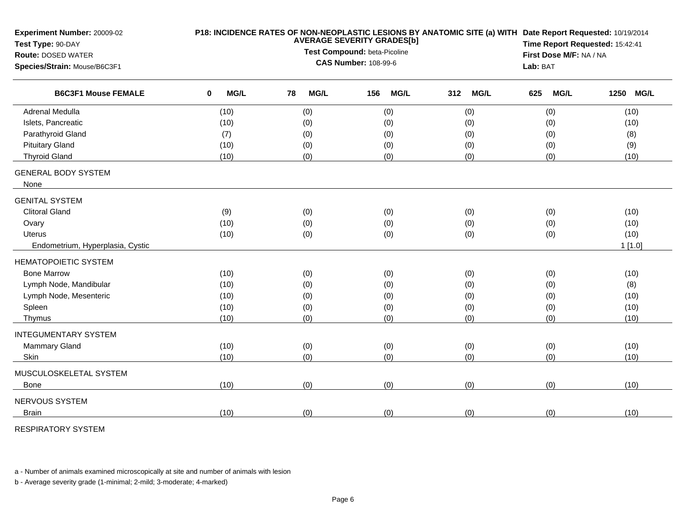| Experiment Number: 20009-02<br>Test Type: 90-DAY<br><b>Route: DOSED WATER</b> |   | P18: INCIDENCE RATES OF NON-NEOPLASTIC LESIONS BY ANATOMIC SITE (a) WITH Date Report Requested: 10/19/2014<br><b>AVERAGE SEVERITY GRADES[b]</b><br>Test Compound: beta-Picoline |    |             |     |             |     |             | Time Report Requested: 15:42:41<br>First Dose M/F: NA / NA |             |        |             |
|-------------------------------------------------------------------------------|---|---------------------------------------------------------------------------------------------------------------------------------------------------------------------------------|----|-------------|-----|-------------|-----|-------------|------------------------------------------------------------|-------------|--------|-------------|
| Species/Strain: Mouse/B6C3F1<br><b>B6C3F1 Mouse FEMALE</b>                    |   | <b>CAS Number: 108-99-6</b>                                                                                                                                                     |    |             |     |             |     |             |                                                            | Lab: BAT    |        |             |
|                                                                               | 0 | MG/L                                                                                                                                                                            | 78 | <b>MG/L</b> | 156 | <b>MG/L</b> | 312 | <b>MG/L</b> | 625                                                        | <b>MG/L</b> | 1250   | <b>MG/L</b> |
| Adrenal Medulla                                                               |   | (10)                                                                                                                                                                            |    | (0)         |     | (0)         |     | (0)         |                                                            | (0)         | (10)   |             |
| Islets, Pancreatic                                                            |   | (10)                                                                                                                                                                            |    | (0)         |     | (0)         |     | (0)         |                                                            | (0)         | (10)   |             |
| Parathyroid Gland                                                             |   | (7)                                                                                                                                                                             |    | (0)         |     | (0)         |     | (0)         |                                                            | (0)         | (8)    |             |
| <b>Pituitary Gland</b>                                                        |   | (10)                                                                                                                                                                            |    | (0)         |     | (0)         |     | (0)         |                                                            | (0)         | (9)    |             |
| <b>Thyroid Gland</b>                                                          |   | (10)                                                                                                                                                                            |    | (0)         |     | (0)         |     | (0)         |                                                            | (0)         | (10)   |             |
| <b>GENERAL BODY SYSTEM</b>                                                    |   |                                                                                                                                                                                 |    |             |     |             |     |             |                                                            |             |        |             |
| None                                                                          |   |                                                                                                                                                                                 |    |             |     |             |     |             |                                                            |             |        |             |
| <b>GENITAL SYSTEM</b>                                                         |   |                                                                                                                                                                                 |    |             |     |             |     |             |                                                            |             |        |             |
| <b>Clitoral Gland</b>                                                         |   | (9)                                                                                                                                                                             |    | (0)         |     | (0)         |     | (0)         |                                                            | (0)         | (10)   |             |
| Ovary                                                                         |   | (10)                                                                                                                                                                            |    | (0)         |     | (0)         |     | (0)         |                                                            | (0)         | (10)   |             |
| Uterus                                                                        |   | (10)                                                                                                                                                                            |    | (0)         |     | (0)         |     | (0)         |                                                            | (0)         | (10)   |             |
| Endometrium, Hyperplasia, Cystic                                              |   |                                                                                                                                                                                 |    |             |     |             |     |             |                                                            |             | 1[1.0] |             |
| <b>HEMATOPOIETIC SYSTEM</b>                                                   |   |                                                                                                                                                                                 |    |             |     |             |     |             |                                                            |             |        |             |
| <b>Bone Marrow</b>                                                            |   | (10)                                                                                                                                                                            |    | (0)         |     | (0)         |     | (0)         |                                                            | (0)         | (10)   |             |
| Lymph Node, Mandibular                                                        |   | (10)                                                                                                                                                                            |    | (0)         |     | (0)         |     | (0)         |                                                            | (0)         | (8)    |             |
| Lymph Node, Mesenteric                                                        |   | (10)                                                                                                                                                                            |    | (0)         |     | (0)         |     | (0)         |                                                            | (0)         | (10)   |             |
| Spleen                                                                        |   | (10)                                                                                                                                                                            |    | (0)         |     | (0)         |     | (0)         |                                                            | (0)         | (10)   |             |
| Thymus                                                                        |   | (10)                                                                                                                                                                            |    | (0)         |     | (0)         |     | (0)         |                                                            | (0)         | (10)   |             |
| <b>INTEGUMENTARY SYSTEM</b>                                                   |   |                                                                                                                                                                                 |    |             |     |             |     |             |                                                            |             |        |             |
| <b>Mammary Gland</b>                                                          |   | (10)                                                                                                                                                                            |    | (0)         |     | (0)         |     | (0)         |                                                            | (0)         | (10)   |             |
| Skin                                                                          |   | (10)                                                                                                                                                                            |    | (0)         |     | (0)         |     | (0)         |                                                            | (0)         | (10)   |             |
| MUSCULOSKELETAL SYSTEM                                                        |   |                                                                                                                                                                                 |    |             |     |             |     |             |                                                            |             |        |             |
| <b>Bone</b>                                                                   |   | (10)                                                                                                                                                                            |    | (0)         |     | (0)         |     | (0)         |                                                            | (0)         | (10)   |             |
| NERVOUS SYSTEM                                                                |   |                                                                                                                                                                                 |    |             |     |             |     |             |                                                            |             |        |             |
| <b>Brain</b>                                                                  |   | (10)                                                                                                                                                                            |    | (0)         |     | (0)         |     | (0)         |                                                            | (0)         | (10)   |             |
|                                                                               |   |                                                                                                                                                                                 |    |             |     |             |     |             |                                                            |             |        |             |

RESPIRATORY SYSTEM

a - Number of animals examined microscopically at site and number of animals with lesion